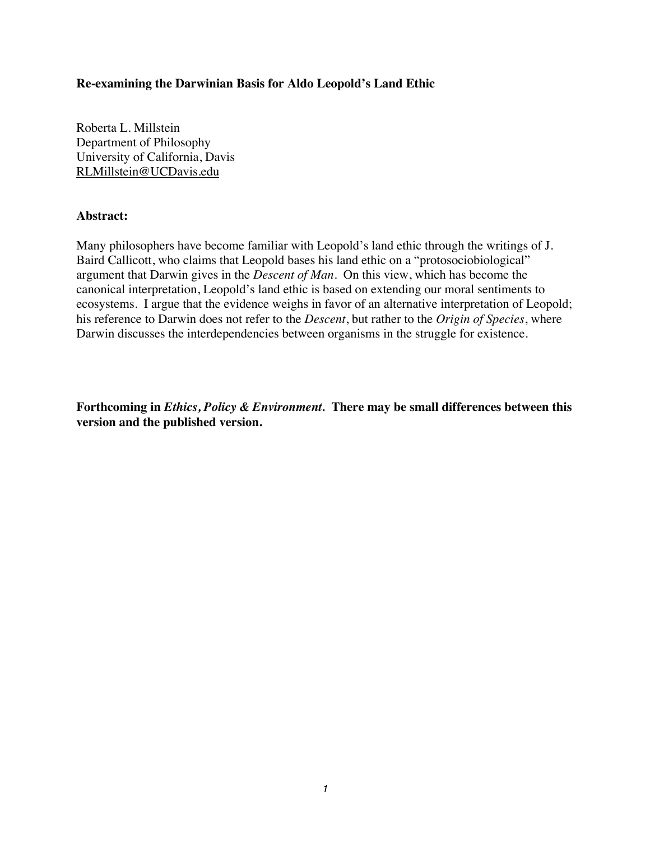# **Re-examining the Darwinian Basis for Aldo Leopold's Land Ethic**

Roberta L. Millstein Department of Philosophy University of California, Davis RLMillstein@UCDavis.edu

# **Abstract:**

Many philosophers have become familiar with Leopold's land ethic through the writings of J. Baird Callicott, who claims that Leopold bases his land ethic on a "protosociobiological" argument that Darwin gives in the *Descent of Man*. On this view, which has become the canonical interpretation, Leopold's land ethic is based on extending our moral sentiments to ecosystems. I argue that the evidence weighs in favor of an alternative interpretation of Leopold; his reference to Darwin does not refer to the *Descent*, but rather to the *Origin of Species*, where Darwin discusses the interdependencies between organisms in the struggle for existence.

**Forthcoming in** *Ethics, Policy & Environment.* **There may be small differences between this version and the published version.**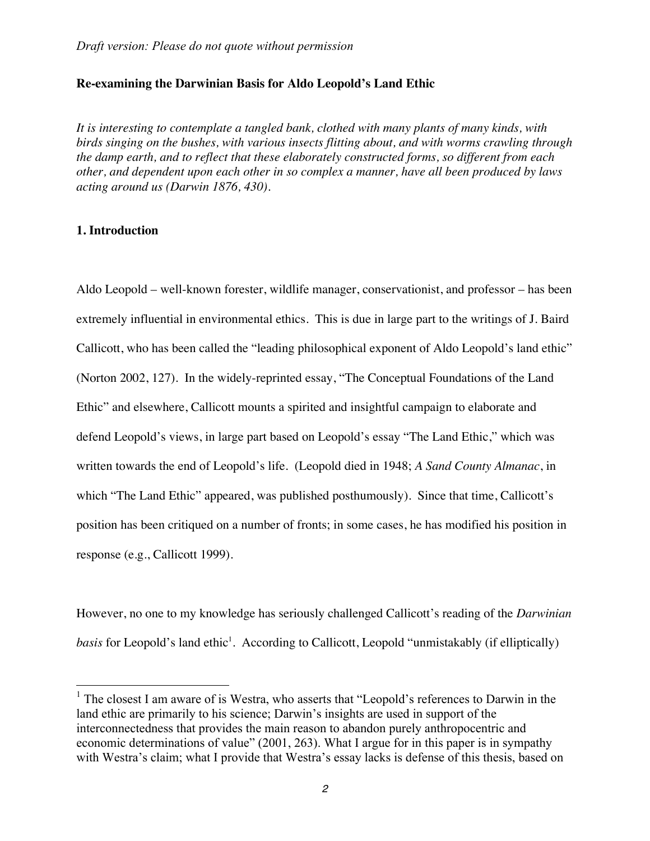#### **Re-examining the Darwinian Basis for Aldo Leopold's Land Ethic**

*It is interesting to contemplate a tangled bank, clothed with many plants of many kinds, with birds singing on the bushes, with various insects flitting about, and with worms crawling through the damp earth, and to reflect that these elaborately constructed forms, so different from each other, and dependent upon each other in so complex a manner, have all been produced by laws acting around us (Darwin 1876, 430).* 

#### **1. Introduction**

Aldo Leopold – well-known forester, wildlife manager, conservationist, and professor – has been extremely influential in environmental ethics. This is due in large part to the writings of J. Baird Callicott, who has been called the "leading philosophical exponent of Aldo Leopold's land ethic" (Norton 2002, 127). In the widely-reprinted essay, "The Conceptual Foundations of the Land Ethic" and elsewhere, Callicott mounts a spirited and insightful campaign to elaborate and defend Leopold's views, in large part based on Leopold's essay "The Land Ethic," which was written towards the end of Leopold's life. (Leopold died in 1948; *A Sand County Almanac*, in which "The Land Ethic" appeared, was published posthumously). Since that time, Callicott's position has been critiqued on a number of fronts; in some cases, he has modified his position in response (e.g., Callicott 1999).

However, no one to my knowledge has seriously challenged Callicott's reading of the *Darwinian*  basis for Leopold's land ethic<sup>1</sup>. According to Callicott, Leopold "unmistakably (if elliptically)

 $<sup>1</sup>$  The closest I am aware of is Westra, who asserts that "Leopold's references to Darwin in the</sup> land ethic are primarily to his science; Darwin's insights are used in support of the interconnectedness that provides the main reason to abandon purely anthropocentric and economic determinations of value" (2001, 263). What I argue for in this paper is in sympathy with Westra's claim; what I provide that Westra's essay lacks is defense of this thesis, based on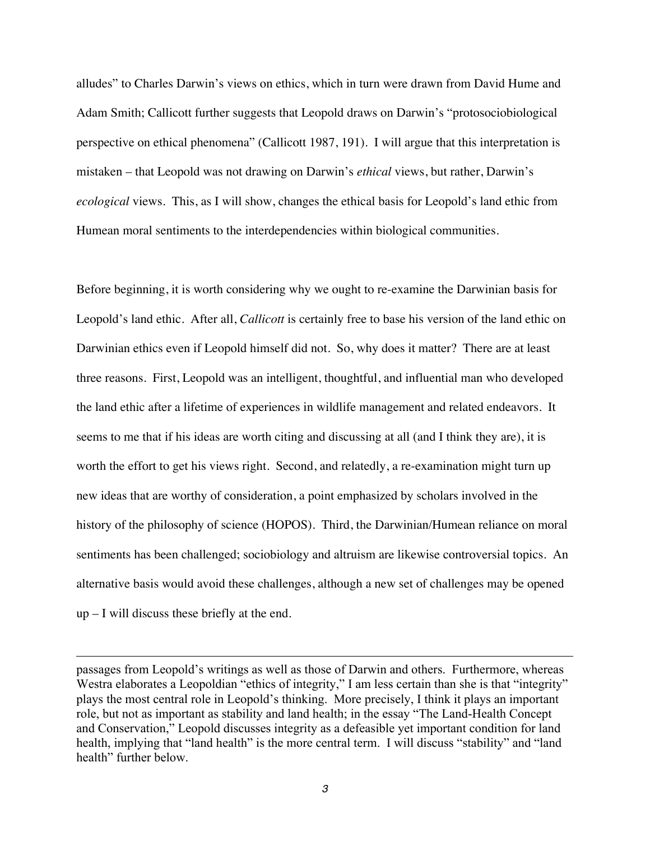alludes" to Charles Darwin's views on ethics, which in turn were drawn from David Hume and Adam Smith; Callicott further suggests that Leopold draws on Darwin's "protosociobiological perspective on ethical phenomena" (Callicott 1987, 191). I will argue that this interpretation is mistaken – that Leopold was not drawing on Darwin's *ethical* views, but rather, Darwin's *ecological* views. This, as I will show, changes the ethical basis for Leopold's land ethic from Humean moral sentiments to the interdependencies within biological communities.

Before beginning, it is worth considering why we ought to re-examine the Darwinian basis for Leopold's land ethic. After all, *Callicott* is certainly free to base his version of the land ethic on Darwinian ethics even if Leopold himself did not. So, why does it matter? There are at least three reasons. First, Leopold was an intelligent, thoughtful, and influential man who developed the land ethic after a lifetime of experiences in wildlife management and related endeavors. It seems to me that if his ideas are worth citing and discussing at all (and I think they are), it is worth the effort to get his views right. Second, and relatedly, a re-examination might turn up new ideas that are worthy of consideration, a point emphasized by scholars involved in the history of the philosophy of science (HOPOS). Third, the Darwinian/Humean reliance on moral sentiments has been challenged; sociobiology and altruism are likewise controversial topics. An alternative basis would avoid these challenges, although a new set of challenges may be opened  $up - I$  will discuss these briefly at the end.

passages from Leopold's writings as well as those of Darwin and others. Furthermore, whereas Westra elaborates a Leopoldian "ethics of integrity," I am less certain than she is that "integrity" plays the most central role in Leopold's thinking. More precisely, I think it plays an important role, but not as important as stability and land health; in the essay "The Land-Health Concept and Conservation," Leopold discusses integrity as a defeasible yet important condition for land health, implying that "land health" is the more central term. I will discuss "stability" and "land health" further below.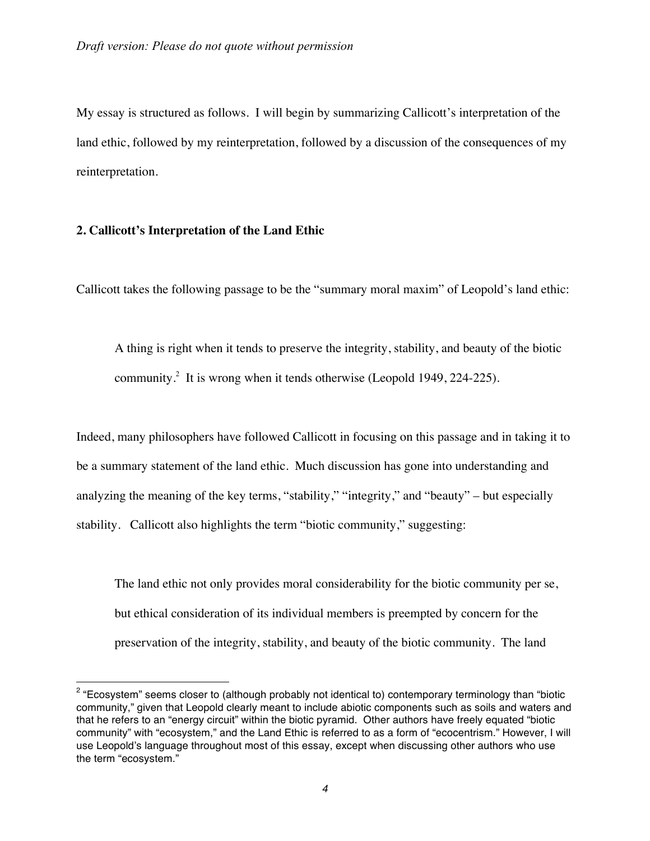My essay is structured as follows. I will begin by summarizing Callicott's interpretation of the land ethic, followed by my reinterpretation, followed by a discussion of the consequences of my reinterpretation.

#### **2. Callicott's Interpretation of the Land Ethic**

 $\overline{a}$ 

Callicott takes the following passage to be the "summary moral maxim" of Leopold's land ethic:

A thing is right when it tends to preserve the integrity, stability, and beauty of the biotic community.<sup>2</sup> It is wrong when it tends otherwise (Leopold 1949, 224-225).

Indeed, many philosophers have followed Callicott in focusing on this passage and in taking it to be a summary statement of the land ethic. Much discussion has gone into understanding and analyzing the meaning of the key terms, "stability," "integrity," and "beauty" – but especially stability. Callicott also highlights the term "biotic community," suggesting:

The land ethic not only provides moral considerability for the biotic community per se, but ethical consideration of its individual members is preempted by concern for the preservation of the integrity, stability, and beauty of the biotic community. The land

 $2$  "Ecosystem" seems closer to (although probably not identical to) contemporary terminology than "biotic community," given that Leopold clearly meant to include abiotic components such as soils and waters and that he refers to an "energy circuit" within the biotic pyramid. Other authors have freely equated "biotic community" with "ecosystem," and the Land Ethic is referred to as a form of "ecocentrism." However, I will use Leopold's language throughout most of this essay, except when discussing other authors who use the term "ecosystem."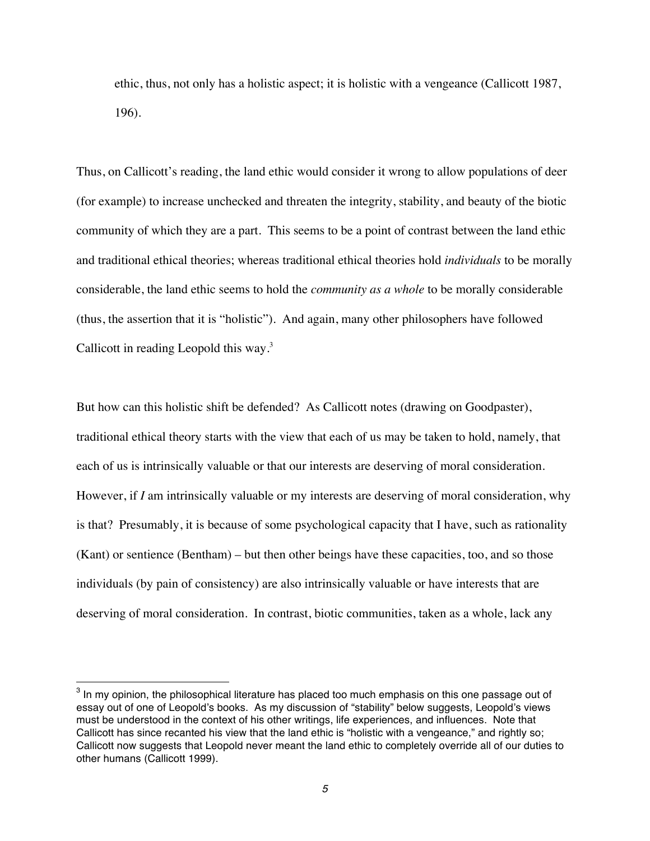ethic, thus, not only has a holistic aspect; it is holistic with a vengeance (Callicott 1987, 196).

Thus, on Callicott's reading, the land ethic would consider it wrong to allow populations of deer (for example) to increase unchecked and threaten the integrity, stability, and beauty of the biotic community of which they are a part. This seems to be a point of contrast between the land ethic and traditional ethical theories; whereas traditional ethical theories hold *individuals* to be morally considerable, the land ethic seems to hold the *community as a whole* to be morally considerable (thus, the assertion that it is "holistic"). And again, many other philosophers have followed Callicott in reading Leopold this way.<sup>3</sup>

But how can this holistic shift be defended? As Callicott notes (drawing on Goodpaster), traditional ethical theory starts with the view that each of us may be taken to hold, namely, that each of us is intrinsically valuable or that our interests are deserving of moral consideration. However, if *I* am intrinsically valuable or my interests are deserving of moral consideration, why is that? Presumably, it is because of some psychological capacity that I have, such as rationality (Kant) or sentience (Bentham) – but then other beings have these capacities, too, and so those individuals (by pain of consistency) are also intrinsically valuable or have interests that are deserving of moral consideration. In contrast, biotic communities, taken as a whole, lack any

 $3$  In my opinion, the philosophical literature has placed too much emphasis on this one passage out of essay out of one of Leopold's books. As my discussion of "stability" below suggests, Leopold's views must be understood in the context of his other writings, life experiences, and influences. Note that Callicott has since recanted his view that the land ethic is "holistic with a vengeance," and rightly so; Callicott now suggests that Leopold never meant the land ethic to completely override all of our duties to other humans (Callicott 1999).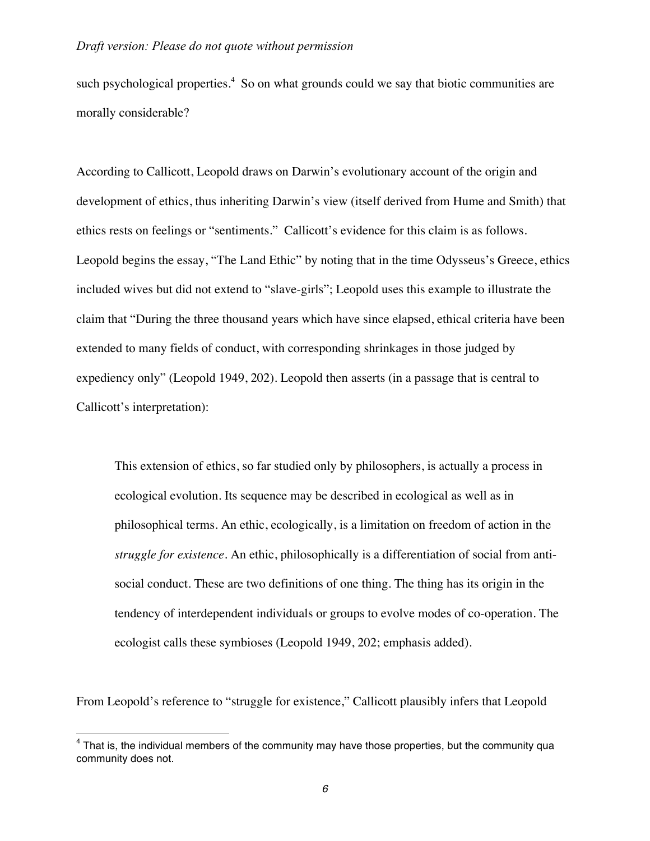such psychological properties.<sup>4</sup> So on what grounds could we say that biotic communities are morally considerable?

According to Callicott, Leopold draws on Darwin's evolutionary account of the origin and development of ethics, thus inheriting Darwin's view (itself derived from Hume and Smith) that ethics rests on feelings or "sentiments." Callicott's evidence for this claim is as follows. Leopold begins the essay, "The Land Ethic" by noting that in the time Odysseus's Greece, ethics included wives but did not extend to "slave-girls"; Leopold uses this example to illustrate the claim that "During the three thousand years which have since elapsed, ethical criteria have been extended to many fields of conduct, with corresponding shrinkages in those judged by expediency only" (Leopold 1949, 202). Leopold then asserts (in a passage that is central to Callicott's interpretation):

This extension of ethics, so far studied only by philosophers, is actually a process in ecological evolution. Its sequence may be described in ecological as well as in philosophical terms. An ethic, ecologically, is a limitation on freedom of action in the *struggle for existence*. An ethic, philosophically is a differentiation of social from antisocial conduct. These are two definitions of one thing. The thing has its origin in the tendency of interdependent individuals or groups to evolve modes of co-operation. The ecologist calls these symbioses (Leopold 1949, 202; emphasis added).

From Leopold's reference to "struggle for existence," Callicott plausibly infers that Leopold

 $4$  That is, the individual members of the community may have those properties, but the community qua community does not.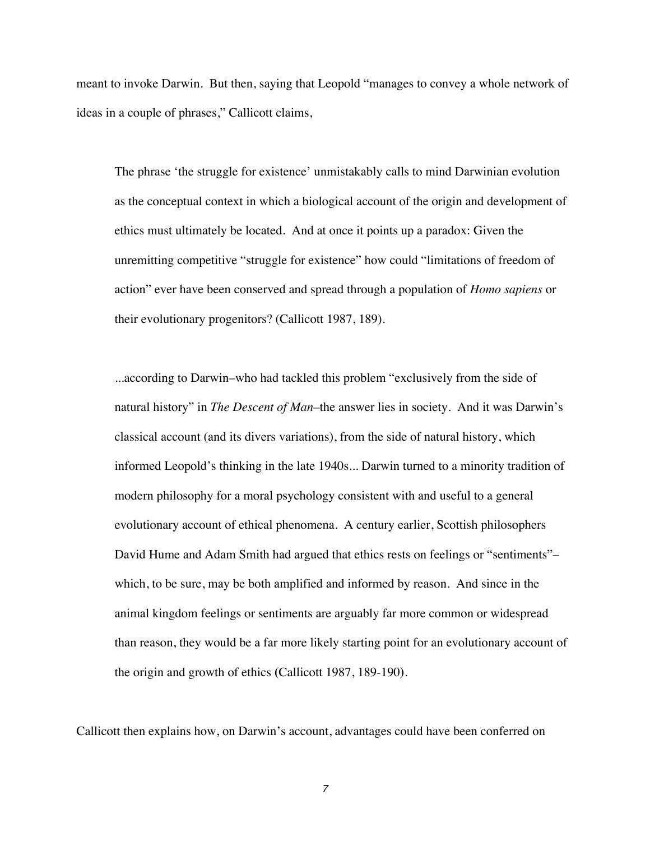meant to invoke Darwin. But then, saying that Leopold "manages to convey a whole network of ideas in a couple of phrases," Callicott claims,

The phrase 'the struggle for existence' unmistakably calls to mind Darwinian evolution as the conceptual context in which a biological account of the origin and development of ethics must ultimately be located. And at once it points up a paradox: Given the unremitting competitive "struggle for existence" how could "limitations of freedom of action" ever have been conserved and spread through a population of *Homo sapiens* or their evolutionary progenitors? (Callicott 1987, 189).

...according to Darwin–who had tackled this problem "exclusively from the side of natural history" in *The Descent of Man*–the answer lies in society. And it was Darwin's classical account (and its divers variations), from the side of natural history, which informed Leopold's thinking in the late 1940s... Darwin turned to a minority tradition of modern philosophy for a moral psychology consistent with and useful to a general evolutionary account of ethical phenomena. A century earlier, Scottish philosophers David Hume and Adam Smith had argued that ethics rests on feelings or "sentiments"– which, to be sure, may be both amplified and informed by reason. And since in the animal kingdom feelings or sentiments are arguably far more common or widespread than reason, they would be a far more likely starting point for an evolutionary account of the origin and growth of ethics **(**Callicott 1987, 189-190**)**.

Callicott then explains how, on Darwin's account, advantages could have been conferred on

*7*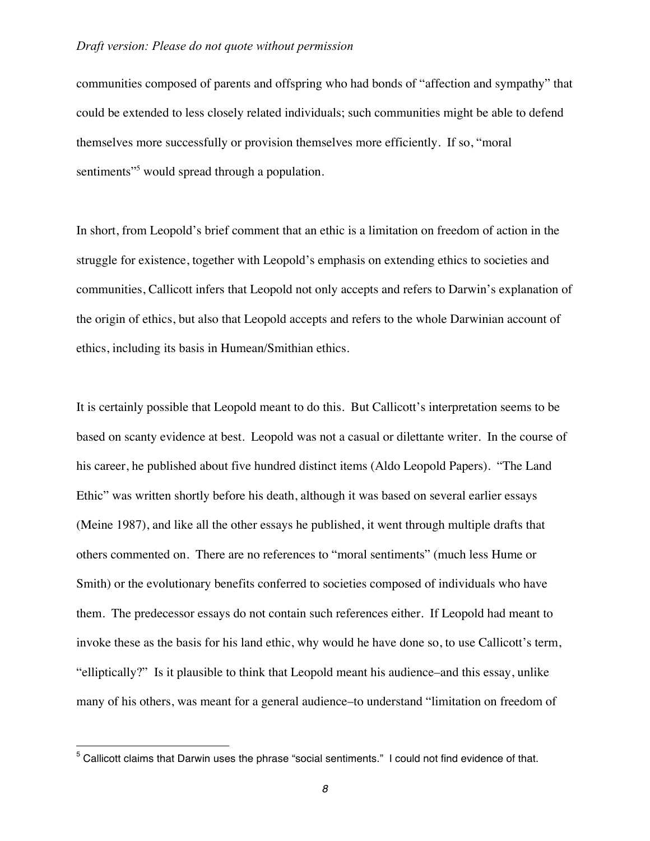communities composed of parents and offspring who had bonds of "affection and sympathy" that could be extended to less closely related individuals; such communities might be able to defend themselves more successfully or provision themselves more efficiently. If so, "moral sentiments<sup>"5</sup> would spread through a population.

In short, from Leopold's brief comment that an ethic is a limitation on freedom of action in the struggle for existence, together with Leopold's emphasis on extending ethics to societies and communities, Callicott infers that Leopold not only accepts and refers to Darwin's explanation of the origin of ethics, but also that Leopold accepts and refers to the whole Darwinian account of ethics, including its basis in Humean/Smithian ethics.

It is certainly possible that Leopold meant to do this. But Callicott's interpretation seems to be based on scanty evidence at best. Leopold was not a casual or dilettante writer. In the course of his career, he published about five hundred distinct items (Aldo Leopold Papers). "The Land Ethic" was written shortly before his death, although it was based on several earlier essays (Meine 1987), and like all the other essays he published, it went through multiple drafts that others commented on. There are no references to "moral sentiments" (much less Hume or Smith) or the evolutionary benefits conferred to societies composed of individuals who have them. The predecessor essays do not contain such references either. If Leopold had meant to invoke these as the basis for his land ethic, why would he have done so, to use Callicott's term, "elliptically?" Is it plausible to think that Leopold meant his audience–and this essay, unlike many of his others, was meant for a general audience–to understand "limitation on freedom of

 $5$  Callicott claims that Darwin uses the phrase "social sentiments." I could not find evidence of that.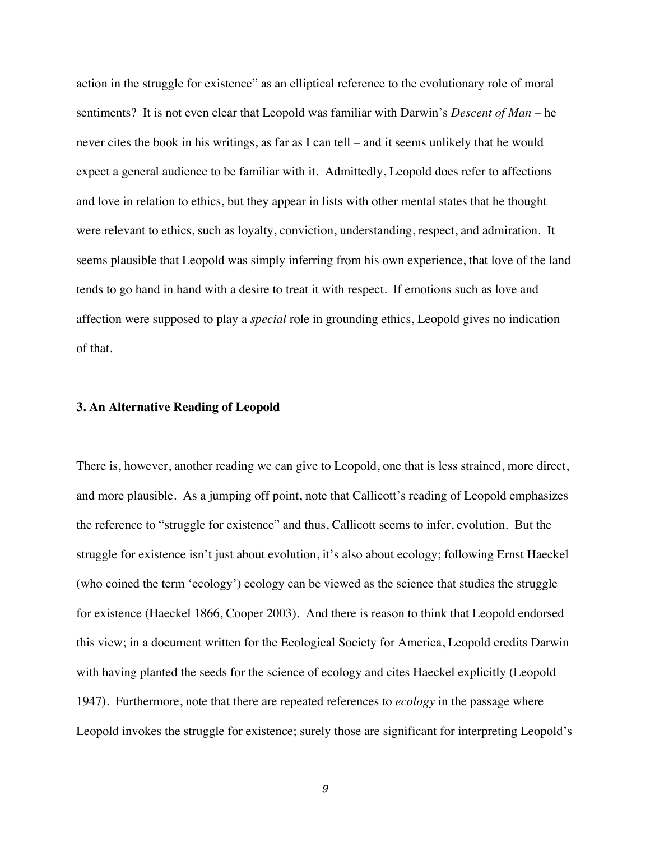action in the struggle for existence" as an elliptical reference to the evolutionary role of moral sentiments? It is not even clear that Leopold was familiar with Darwin's *Descent of Man* – he never cites the book in his writings, as far as I can tell – and it seems unlikely that he would expect a general audience to be familiar with it. Admittedly, Leopold does refer to affections and love in relation to ethics, but they appear in lists with other mental states that he thought were relevant to ethics, such as loyalty, conviction, understanding, respect, and admiration. It seems plausible that Leopold was simply inferring from his own experience, that love of the land tends to go hand in hand with a desire to treat it with respect. If emotions such as love and affection were supposed to play a *special* role in grounding ethics, Leopold gives no indication of that.

#### **3. An Alternative Reading of Leopold**

There is, however, another reading we can give to Leopold, one that is less strained, more direct, and more plausible. As a jumping off point, note that Callicott's reading of Leopold emphasizes the reference to "struggle for existence" and thus, Callicott seems to infer, evolution. But the struggle for existence isn't just about evolution, it's also about ecology; following Ernst Haeckel (who coined the term 'ecology') ecology can be viewed as the science that studies the struggle for existence (Haeckel 1866, Cooper 2003). And there is reason to think that Leopold endorsed this view; in a document written for the Ecological Society for America, Leopold credits Darwin with having planted the seeds for the science of ecology and cites Haeckel explicitly (Leopold 1947**)**. Furthermore, note that there are repeated references to *ecology* in the passage where Leopold invokes the struggle for existence; surely those are significant for interpreting Leopold's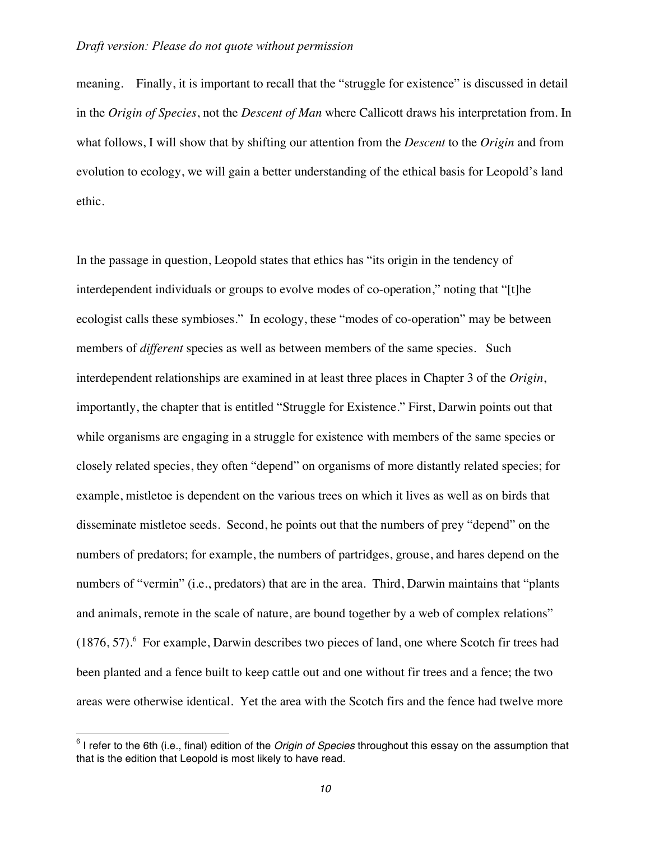meaning. Finally, it is important to recall that the "struggle for existence" is discussed in detail in the *Origin of Species*, not the *Descent of Man* where Callicott draws his interpretation from. In what follows, I will show that by shifting our attention from the *Descent* to the *Origin* and from evolution to ecology, we will gain a better understanding of the ethical basis for Leopold's land ethic.

In the passage in question, Leopold states that ethics has "its origin in the tendency of interdependent individuals or groups to evolve modes of co-operation," noting that "[t]he ecologist calls these symbioses." In ecology, these "modes of co-operation" may be between members of *different* species as well as between members of the same species. Such interdependent relationships are examined in at least three places in Chapter 3 of the *Origin*, importantly, the chapter that is entitled "Struggle for Existence." First, Darwin points out that while organisms are engaging in a struggle for existence with members of the same species or closely related species, they often "depend" on organisms of more distantly related species; for example, mistletoe is dependent on the various trees on which it lives as well as on birds that disseminate mistletoe seeds. Second, he points out that the numbers of prey "depend" on the numbers of predators; for example, the numbers of partridges, grouse, and hares depend on the numbers of "vermin" (i.e., predators) that are in the area. Third, Darwin maintains that "plants and animals, remote in the scale of nature, are bound together by a web of complex relations"  $(1876, 57)$ . For example, Darwin describes two pieces of land, one where Scotch fir trees had been planted and a fence built to keep cattle out and one without fir trees and a fence; the two areas were otherwise identical. Yet the area with the Scotch firs and the fence had twelve more

<sup>6</sup> I refer to the 6th (i.e., final) edition of the *Origin of Species* throughout this essay on the assumption that that is the edition that Leopold is most likely to have read.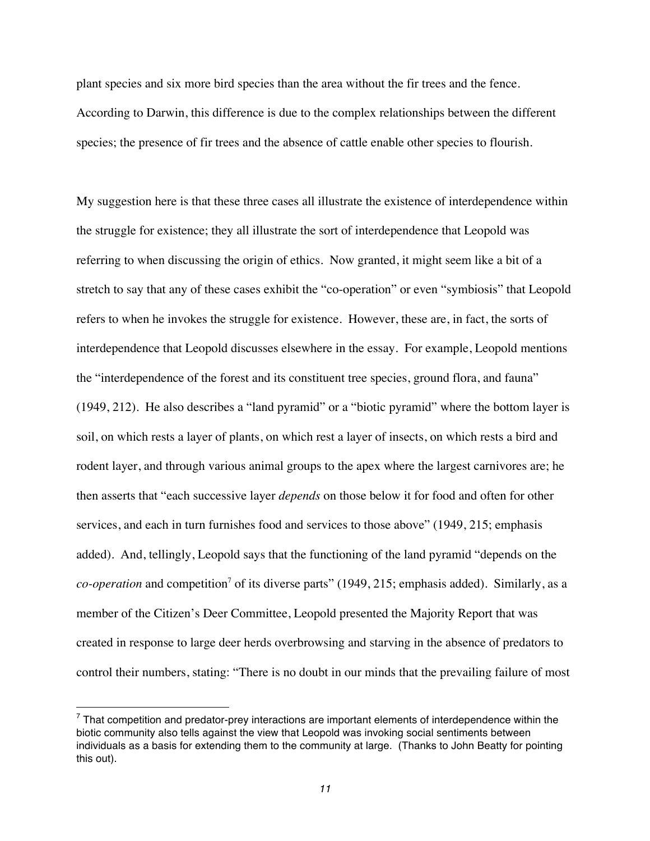plant species and six more bird species than the area without the fir trees and the fence. According to Darwin, this difference is due to the complex relationships between the different species; the presence of fir trees and the absence of cattle enable other species to flourish.

My suggestion here is that these three cases all illustrate the existence of interdependence within the struggle for existence; they all illustrate the sort of interdependence that Leopold was referring to when discussing the origin of ethics. Now granted, it might seem like a bit of a stretch to say that any of these cases exhibit the "co-operation" or even "symbiosis" that Leopold refers to when he invokes the struggle for existence. However, these are, in fact, the sorts of interdependence that Leopold discusses elsewhere in the essay. For example, Leopold mentions the "interdependence of the forest and its constituent tree species, ground flora, and fauna" (1949, 212). He also describes a "land pyramid" or a "biotic pyramid" where the bottom layer is soil, on which rests a layer of plants, on which rest a layer of insects, on which rests a bird and rodent layer, and through various animal groups to the apex where the largest carnivores are; he then asserts that "each successive layer *depends* on those below it for food and often for other services, and each in turn furnishes food and services to those above" (1949, 215; emphasis added). And, tellingly, Leopold says that the functioning of the land pyramid "depends on the *co-operation* and competition<sup>7</sup> of its diverse parts" (1949, 215; emphasis added). Similarly, as a member of the Citizen's Deer Committee, Leopold presented the Majority Report that was created in response to large deer herds overbrowsing and starving in the absence of predators to control their numbers, stating: "There is no doubt in our minds that the prevailing failure of most

 $7$  That competition and predator-prey interactions are important elements of interdependence within the biotic community also tells against the view that Leopold was invoking social sentiments between individuals as a basis for extending them to the community at large. (Thanks to John Beatty for pointing this out).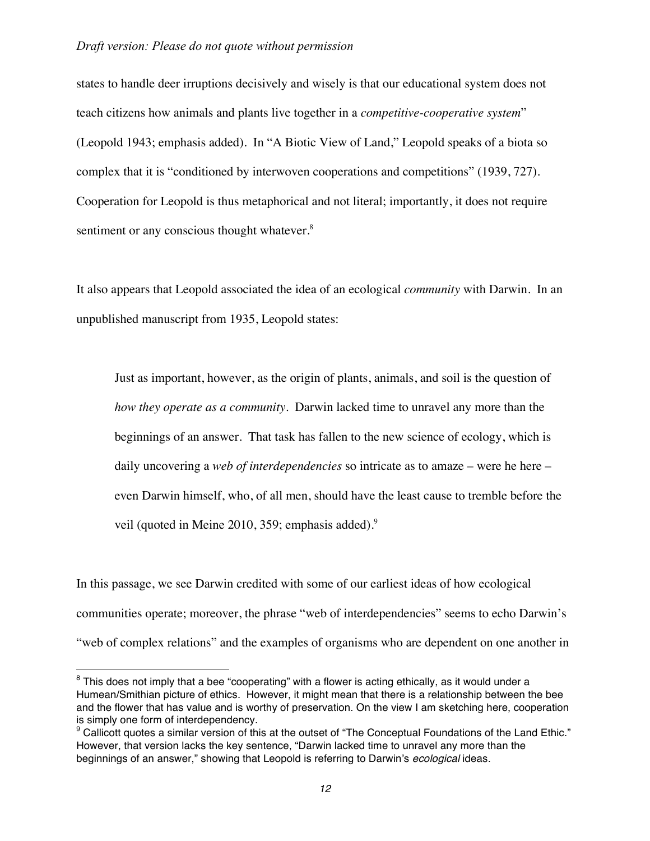states to handle deer irruptions decisively and wisely is that our educational system does not teach citizens how animals and plants live together in a *competitive-cooperative system*" (Leopold 1943; emphasis added). In "A Biotic View of Land," Leopold speaks of a biota so complex that it is "conditioned by interwoven cooperations and competitions" (1939, 727). Cooperation for Leopold is thus metaphorical and not literal; importantly, it does not require sentiment or any conscious thought whatever.<sup>8</sup>

It also appears that Leopold associated the idea of an ecological *community* with Darwin. In an unpublished manuscript from 1935, Leopold states:

Just as important, however, as the origin of plants, animals, and soil is the question of *how they operate as a community*. Darwin lacked time to unravel any more than the beginnings of an answer. That task has fallen to the new science of ecology, which is daily uncovering a *web of interdependencies* so intricate as to amaze – were he here – even Darwin himself, who, of all men, should have the least cause to tremble before the veil (quoted in Meine 2010, 359; emphasis added). $9^9$ 

In this passage, we see Darwin credited with some of our earliest ideas of how ecological communities operate; moreover, the phrase "web of interdependencies" seems to echo Darwin's "web of complex relations" and the examples of organisms who are dependent on one another in

 $8$  This does not imply that a bee "cooperating" with a flower is acting ethically, as it would under a Humean/Smithian picture of ethics. However, it might mean that there is a relationship between the bee and the flower that has value and is worthy of preservation. On the view I am sketching here, cooperation is simply one form of interdependency.

 $9$  Callicott quotes a similar version of this at the outset of "The Conceptual Foundations of the Land Ethic." However, that version lacks the key sentence, "Darwin lacked time to unravel any more than the beginnings of an answer," showing that Leopold is referring to Darwin's *ecological* ideas.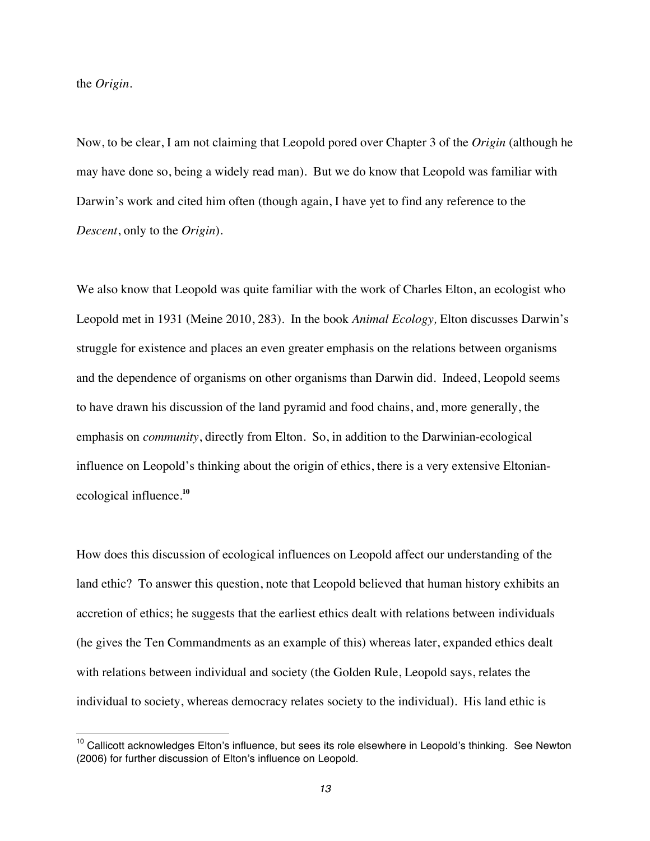the *Origin.*

 $\overline{a}$ 

Now, to be clear, I am not claiming that Leopold pored over Chapter 3 of the *Origin* (although he may have done so, being a widely read man)*.* But we do know that Leopold was familiar with Darwin's work and cited him often (though again, I have yet to find any reference to the *Descent*, only to the *Origin*).

We also know that Leopold was quite familiar with the work of Charles Elton, an ecologist who Leopold met in 1931 (Meine 2010, 283). In the book *Animal Ecology,* Elton discusses Darwin's struggle for existence and places an even greater emphasis on the relations between organisms and the dependence of organisms on other organisms than Darwin did. Indeed, Leopold seems to have drawn his discussion of the land pyramid and food chains, and, more generally, the emphasis on *community*, directly from Elton. So, in addition to the Darwinian-ecological influence on Leopold's thinking about the origin of ethics, there is a very extensive Eltonianecological influence.**<sup>10</sup>**

How does this discussion of ecological influences on Leopold affect our understanding of the land ethic? To answer this question, note that Leopold believed that human history exhibits an accretion of ethics; he suggests that the earliest ethics dealt with relations between individuals (he gives the Ten Commandments as an example of this) whereas later, expanded ethics dealt with relations between individual and society (the Golden Rule, Leopold says, relates the individual to society, whereas democracy relates society to the individual). His land ethic is

<sup>&</sup>lt;sup>10</sup> Callicott acknowledges Elton's influence, but sees its role elsewhere in Leopold's thinking. See Newton (2006) for further discussion of Elton's influence on Leopold.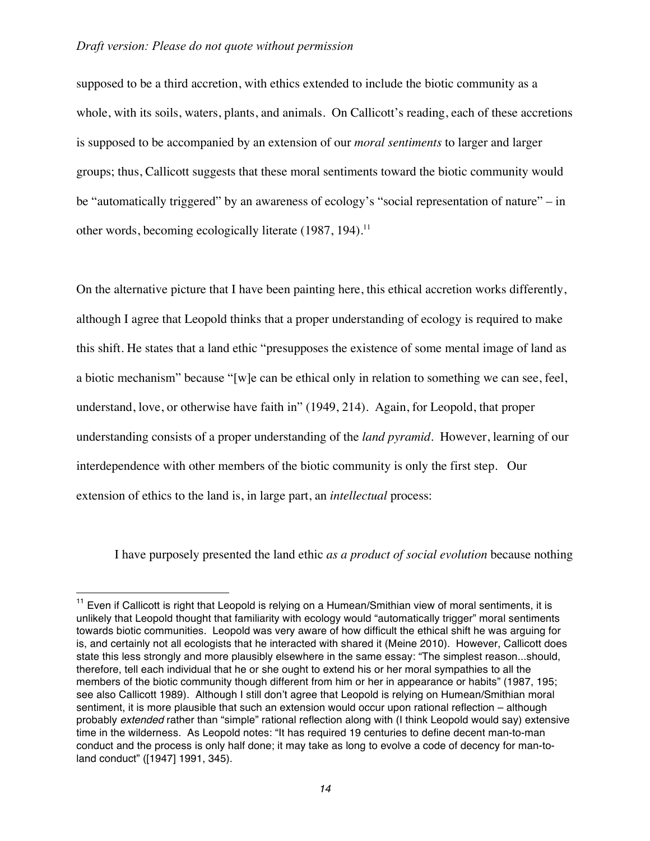$\overline{a}$ 

supposed to be a third accretion, with ethics extended to include the biotic community as a whole, with its soils, waters, plants, and animals. On Callicott's reading, each of these accretions is supposed to be accompanied by an extension of our *moral sentiments* to larger and larger groups; thus, Callicott suggests that these moral sentiments toward the biotic community would be "automatically triggered" by an awareness of ecology's "social representation of nature" – in other words, becoming ecologically literate (1987, 194).<sup>11</sup>

On the alternative picture that I have been painting here, this ethical accretion works differently, although I agree that Leopold thinks that a proper understanding of ecology is required to make this shift. He states that a land ethic "presupposes the existence of some mental image of land as a biotic mechanism" because "[w]e can be ethical only in relation to something we can see, feel, understand, love, or otherwise have faith in" (1949, 214). Again, for Leopold, that proper understanding consists of a proper understanding of the *land pyramid.* However, learning of our interdependence with other members of the biotic community is only the first step. Our extension of ethics to the land is, in large part, an *intellectual* process:

I have purposely presented the land ethic *as a product of social evolution* because nothing

 $11$  Even if Callicott is right that Leopold is relying on a Humean/Smithian view of moral sentiments, it is unlikely that Leopold thought that familiarity with ecology would "automatically trigger" moral sentiments towards biotic communities. Leopold was very aware of how difficult the ethical shift he was arguing for is, and certainly not all ecologists that he interacted with shared it (Meine 2010). However, Callicott does state this less strongly and more plausibly elsewhere in the same essay: "The simplest reason...should, therefore, tell each individual that he or she ought to extend his or her moral sympathies to all the members of the biotic community though different from him or her in appearance or habits" (1987, 195; see also Callicott 1989). Although I still don't agree that Leopold is relying on Humean/Smithian moral sentiment, it is more plausible that such an extension would occur upon rational reflection – although probably *extended* rather than "simple" rational reflection along with (I think Leopold would say) extensive time in the wilderness. As Leopold notes: "It has required 19 centuries to define decent man-to-man conduct and the process is only half done; it may take as long to evolve a code of decency for man-toland conduct" ([1947] 1991, 345).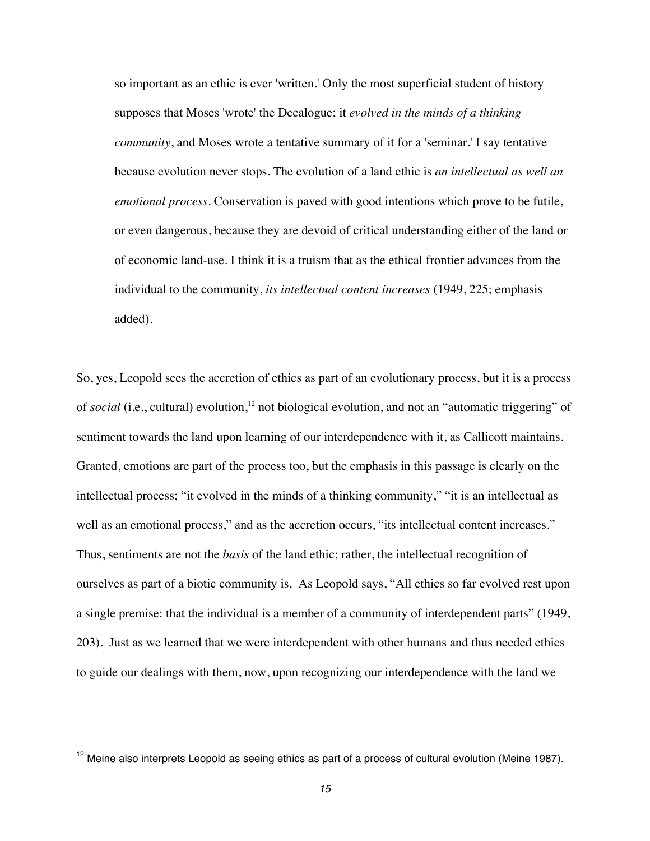so important as an ethic is ever 'written.' Only the most superficial student of history supposes that Moses 'wrote' the Decalogue; it *evolved in the minds of a thinking community*, and Moses wrote a tentative summary of it for a 'seminar.' I say tentative because evolution never stops. The evolution of a land ethic is *an intellectual as well an emotional process*. Conservation is paved with good intentions which prove to be futile, or even dangerous, because they are devoid of critical understanding either of the land or of economic land-use. I think it is a truism that as the ethical frontier advances from the individual to the community, *its intellectual content increases* (1949, 225; emphasis added).

So, yes, Leopold sees the accretion of ethics as part of an evolutionary process, but it is a process of *social* (i.e., cultural) evolution,<sup>12</sup> not biological evolution, and not an "automatic triggering" of sentiment towards the land upon learning of our interdependence with it, as Callicott maintains. Granted, emotions are part of the process too, but the emphasis in this passage is clearly on the intellectual process; "it evolved in the minds of a thinking community," "it is an intellectual as well as an emotional process," and as the accretion occurs, "its intellectual content increases." Thus, sentiments are not the *basis* of the land ethic; rather, the intellectual recognition of ourselves as part of a biotic community is. As Leopold says, "All ethics so far evolved rest upon a single premise: that the individual is a member of a community of interdependent parts" (1949, 203). Just as we learned that we were interdependent with other humans and thus needed ethics to guide our dealings with them, now, upon recognizing our interdependence with the land we

 $12$  Meine also interprets Leopold as seeing ethics as part of a process of cultural evolution (Meine 1987).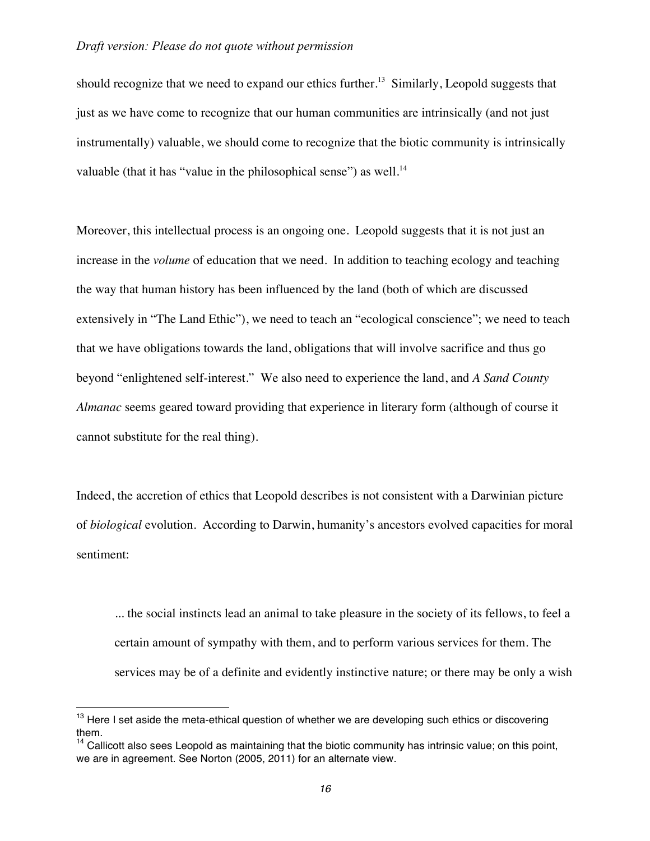should recognize that we need to expand our ethics further.<sup>13</sup> Similarly, Leopold suggests that just as we have come to recognize that our human communities are intrinsically (and not just instrumentally) valuable, we should come to recognize that the biotic community is intrinsically valuable (that it has "value in the philosophical sense") as well. $^{14}$ 

Moreover, this intellectual process is an ongoing one. Leopold suggests that it is not just an increase in the *volume* of education that we need. In addition to teaching ecology and teaching the way that human history has been influenced by the land (both of which are discussed extensively in "The Land Ethic"), we need to teach an "ecological conscience"; we need to teach that we have obligations towards the land, obligations that will involve sacrifice and thus go beyond "enlightened self-interest." We also need to experience the land, and *A Sand County Almanac* seems geared toward providing that experience in literary form (although of course it cannot substitute for the real thing).

Indeed, the accretion of ethics that Leopold describes is not consistent with a Darwinian picture of *biological* evolution. According to Darwin, humanity's ancestors evolved capacities for moral sentiment:

... the social instincts lead an animal to take pleasure in the society of its fellows, to feel a certain amount of sympathy with them, and to perform various services for them. The services may be of a definite and evidently instinctive nature; or there may be only a wish

<sup>&</sup>lt;sup>13</sup> Here I set aside the meta-ethical question of whether we are developing such ethics or discovering them.

 $14$  Callicott also sees Leopold as maintaining that the biotic community has intrinsic value; on this point, we are in agreement. See Norton (2005, 2011) for an alternate view.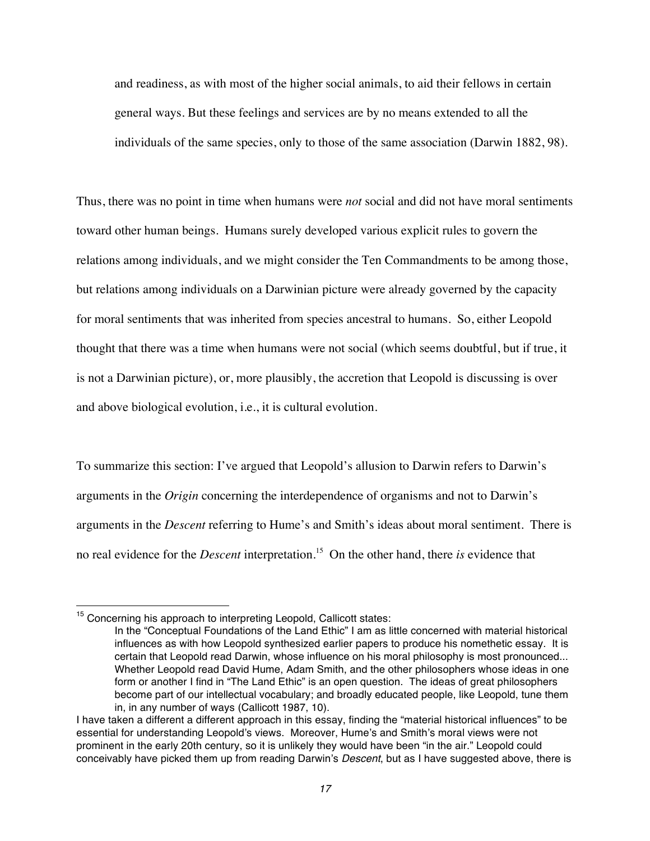and readiness, as with most of the higher social animals, to aid their fellows in certain general ways. But these feelings and services are by no means extended to all the individuals of the same species, only to those of the same association (Darwin 1882, 98).

Thus, there was no point in time when humans were *not* social and did not have moral sentiments toward other human beings. Humans surely developed various explicit rules to govern the relations among individuals, and we might consider the Ten Commandments to be among those, but relations among individuals on a Darwinian picture were already governed by the capacity for moral sentiments that was inherited from species ancestral to humans. So, either Leopold thought that there was a time when humans were not social (which seems doubtful, but if true, it is not a Darwinian picture), or, more plausibly, the accretion that Leopold is discussing is over and above biological evolution, i.e., it is cultural evolution.

To summarize this section: I've argued that Leopold's allusion to Darwin refers to Darwin's arguments in the *Origin* concerning the interdependence of organisms and not to Darwin's arguments in the *Descent* referring to Hume's and Smith's ideas about moral sentiment. There is no real evidence for the *Descent* interpretation.<sup>15</sup> On the other hand, there *is* evidence that

<sup>&</sup>lt;sup>15</sup> Concerning his approach to interpreting Leopold, Callicott states:

In the "Conceptual Foundations of the Land Ethic" I am as little concerned with material historical influences as with how Leopold synthesized earlier papers to produce his nomethetic essay. It is certain that Leopold read Darwin, whose influence on his moral philosophy is most pronounced... Whether Leopold read David Hume, Adam Smith, and the other philosophers whose ideas in one form or another I find in "The Land Ethic" is an open question. The ideas of great philosophers become part of our intellectual vocabulary; and broadly educated people, like Leopold, tune them in, in any number of ways (Callicott 1987, 10).

I have taken a different a different approach in this essay, finding the "material historical influences" to be essential for understanding Leopold's views. Moreover, Hume's and Smith's moral views were not prominent in the early 20th century, so it is unlikely they would have been "in the air." Leopold could conceivably have picked them up from reading Darwin's *Descent*, but as I have suggested above, there is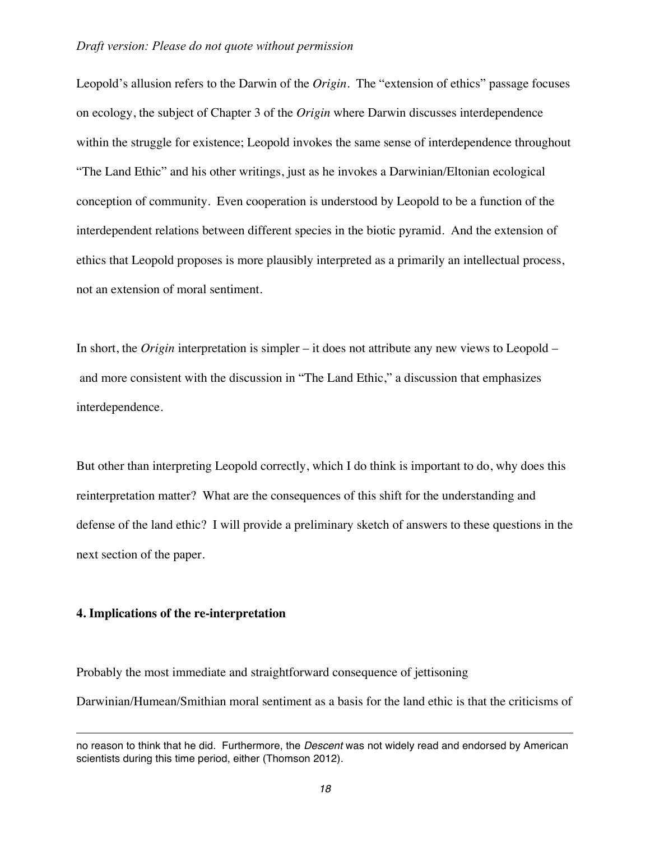Leopold's allusion refers to the Darwin of the *Origin*. The "extension of ethics" passage focuses on ecology, the subject of Chapter 3 of the *Origin* where Darwin discusses interdependence within the struggle for existence; Leopold invokes the same sense of interdependence throughout "The Land Ethic" and his other writings, just as he invokes a Darwinian/Eltonian ecological conception of community. Even cooperation is understood by Leopold to be a function of the interdependent relations between different species in the biotic pyramid. And the extension of ethics that Leopold proposes is more plausibly interpreted as a primarily an intellectual process, not an extension of moral sentiment.

In short, the *Origin* interpretation is simpler – it does not attribute any new views to Leopold – and more consistent with the discussion in "The Land Ethic," a discussion that emphasizes interdependence.

But other than interpreting Leopold correctly, which I do think is important to do, why does this reinterpretation matter? What are the consequences of this shift for the understanding and defense of the land ethic? I will provide a preliminary sketch of answers to these questions in the next section of the paper.

## **4. Implications of the re-interpretation**

 $\overline{a}$ 

Probably the most immediate and straightforward consequence of jettisoning Darwinian/Humean/Smithian moral sentiment as a basis for the land ethic is that the criticisms of

no reason to think that he did. Furthermore, the *Descent* was not widely read and endorsed by American scientists during this time period, either (Thomson 2012).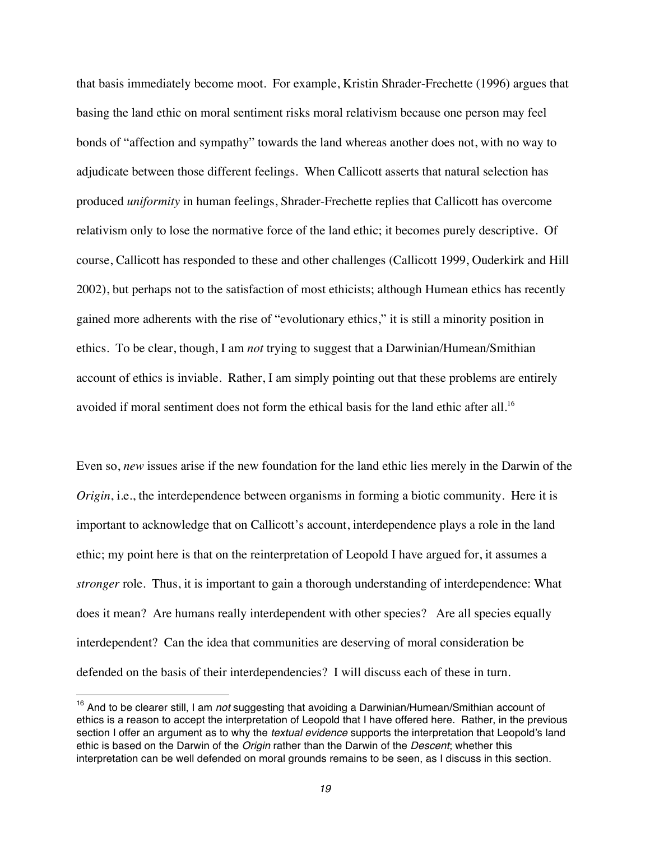that basis immediately become moot. For example, Kristin Shrader-Frechette (1996) argues that basing the land ethic on moral sentiment risks moral relativism because one person may feel bonds of "affection and sympathy" towards the land whereas another does not, with no way to adjudicate between those different feelings. When Callicott asserts that natural selection has produced *uniformity* in human feelings, Shrader-Frechette replies that Callicott has overcome relativism only to lose the normative force of the land ethic; it becomes purely descriptive. Of course, Callicott has responded to these and other challenges (Callicott 1999, Ouderkirk and Hill 2002), but perhaps not to the satisfaction of most ethicists; although Humean ethics has recently gained more adherents with the rise of "evolutionary ethics," it is still a minority position in ethics. To be clear, though, I am *not* trying to suggest that a Darwinian/Humean/Smithian account of ethics is inviable. Rather, I am simply pointing out that these problems are entirely avoided if moral sentiment does not form the ethical basis for the land ethic after all.<sup>16</sup>

Even so, *new* issues arise if the new foundation for the land ethic lies merely in the Darwin of the *Origin*, i.e., the interdependence between organisms in forming a biotic community. Here it is important to acknowledge that on Callicott's account, interdependence plays a role in the land ethic; my point here is that on the reinterpretation of Leopold I have argued for, it assumes a *stronger* role. Thus, it is important to gain a thorough understanding of interdependence: What does it mean? Are humans really interdependent with other species? Are all species equally interdependent? Can the idea that communities are deserving of moral consideration be defended on the basis of their interdependencies? I will discuss each of these in turn.

<sup>16</sup> And to be clearer still, I am *not* suggesting that avoiding a Darwinian/Humean/Smithian account of ethics is a reason to accept the interpretation of Leopold that I have offered here. Rather, in the previous section I offer an argument as to why the *textual evidence* supports the interpretation that Leopold's land ethic is based on the Darwin of the *Origin* rather than the Darwin of the *Descent*; whether this interpretation can be well defended on moral grounds remains to be seen, as I discuss in this section.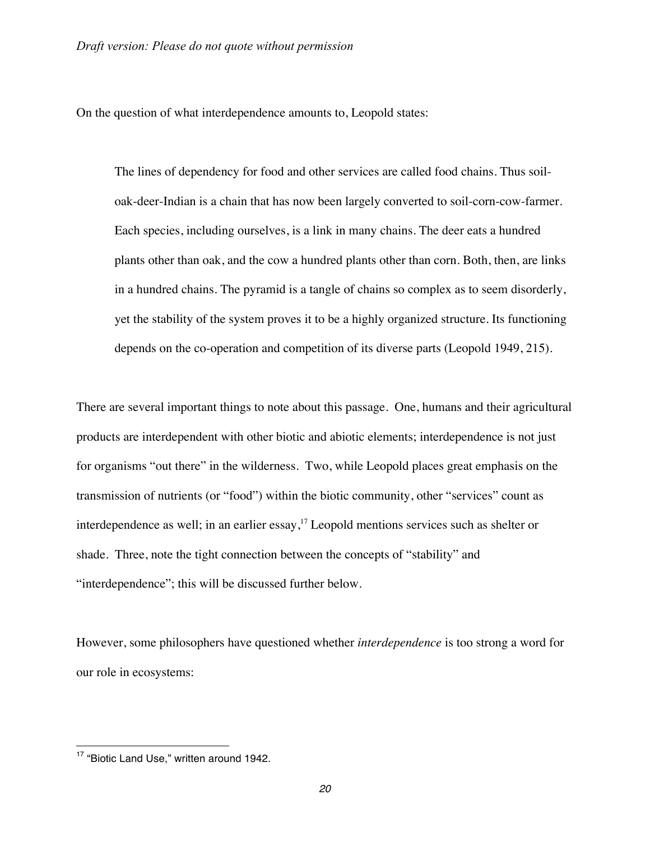On the question of what interdependence amounts to, Leopold states:

The lines of dependency for food and other services are called food chains. Thus soiloak-deer-Indian is a chain that has now been largely converted to soil-corn-cow-farmer. Each species, including ourselves, is a link in many chains. The deer eats a hundred plants other than oak, and the cow a hundred plants other than corn. Both, then, are links in a hundred chains. The pyramid is a tangle of chains so complex as to seem disorderly, yet the stability of the system proves it to be a highly organized structure. Its functioning depends on the co-operation and competition of its diverse parts (Leopold 1949, 215).

There are several important things to note about this passage. One, humans and their agricultural products are interdependent with other biotic and abiotic elements; interdependence is not just for organisms "out there" in the wilderness. Two, while Leopold places great emphasis on the transmission of nutrients (or "food") within the biotic community, other "services" count as interdependence as well; in an earlier essay,<sup>17</sup> Leopold mentions services such as shelter or shade. Three, note the tight connection between the concepts of "stability" and "interdependence"; this will be discussed further below.

However, some philosophers have questioned whether *interdependence* is too strong a word for our role in ecosystems:

<sup>&</sup>lt;sup>17</sup> "Biotic Land Use," written around 1942.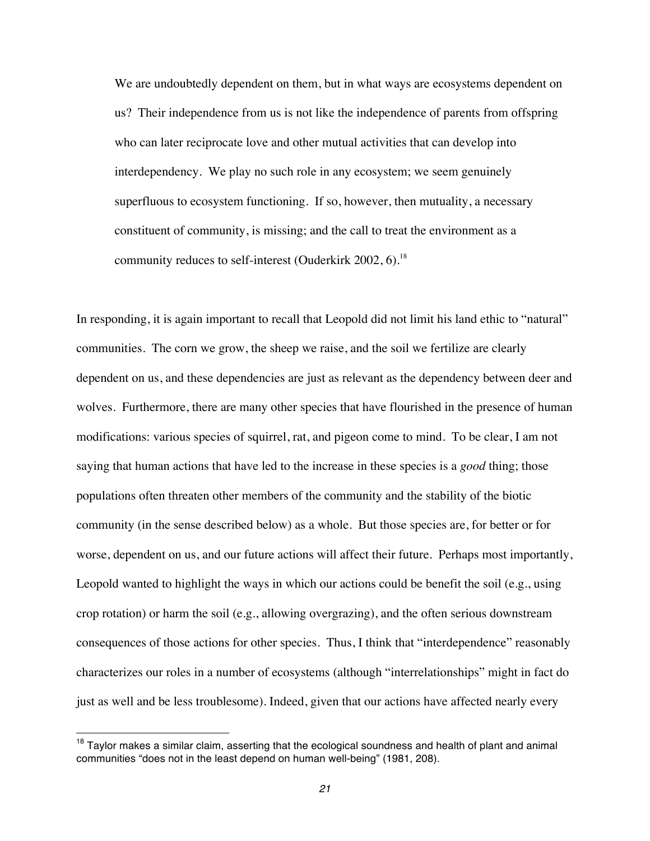We are undoubtedly dependent on them, but in what ways are ecosystems dependent on us? Their independence from us is not like the independence of parents from offspring who can later reciprocate love and other mutual activities that can develop into interdependency. We play no such role in any ecosystem; we seem genuinely superfluous to ecosystem functioning. If so, however, then mutuality, a necessary constituent of community, is missing; and the call to treat the environment as a community reduces to self-interest (Ouderkirk 2002, 6).<sup>18</sup>

In responding, it is again important to recall that Leopold did not limit his land ethic to "natural" communities. The corn we grow, the sheep we raise, and the soil we fertilize are clearly dependent on us, and these dependencies are just as relevant as the dependency between deer and wolves. Furthermore, there are many other species that have flourished in the presence of human modifications: various species of squirrel, rat, and pigeon come to mind. To be clear, I am not saying that human actions that have led to the increase in these species is a *good* thing; those populations often threaten other members of the community and the stability of the biotic community (in the sense described below) as a whole. But those species are, for better or for worse, dependent on us, and our future actions will affect their future. Perhaps most importantly, Leopold wanted to highlight the ways in which our actions could be benefit the soil (e.g., using crop rotation) or harm the soil (e.g., allowing overgrazing), and the often serious downstream consequences of those actions for other species. Thus, I think that "interdependence" reasonably characterizes our roles in a number of ecosystems (although "interrelationships" might in fact do just as well and be less troublesome). Indeed, given that our actions have affected nearly every

<sup>&</sup>lt;sup>18</sup> Taylor makes a similar claim, asserting that the ecological soundness and health of plant and animal communities "does not in the least depend on human well-being" (1981, 208).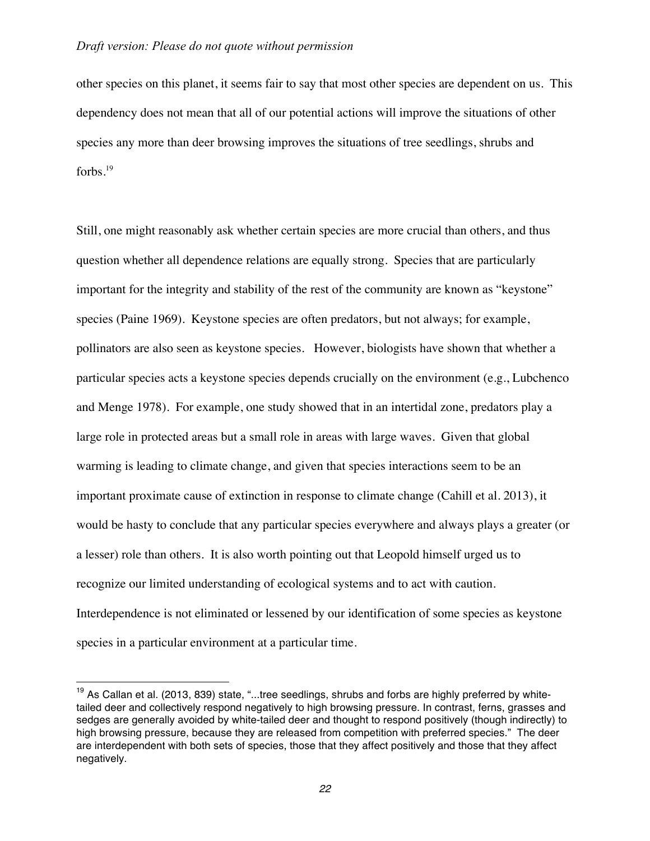other species on this planet, it seems fair to say that most other species are dependent on us. This dependency does not mean that all of our potential actions will improve the situations of other species any more than deer browsing improves the situations of tree seedlings, shrubs and forbs.19

Still, one might reasonably ask whether certain species are more crucial than others, and thus question whether all dependence relations are equally strong. Species that are particularly important for the integrity and stability of the rest of the community are known as "keystone" species (Paine 1969). Keystone species are often predators, but not always; for example, pollinators are also seen as keystone species. However, biologists have shown that whether a particular species acts a keystone species depends crucially on the environment (e.g., Lubchenco and Menge 1978). For example, one study showed that in an intertidal zone, predators play a large role in protected areas but a small role in areas with large waves. Given that global warming is leading to climate change, and given that species interactions seem to be an important proximate cause of extinction in response to climate change (Cahill et al. 2013), it would be hasty to conclude that any particular species everywhere and always plays a greater (or a lesser) role than others. It is also worth pointing out that Leopold himself urged us to recognize our limited understanding of ecological systems and to act with caution. Interdependence is not eliminated or lessened by our identification of some species as keystone species in a particular environment at a particular time.

 $19$  As Callan et al. (2013, 839) state, "...tree seedlings, shrubs and forbs are highly preferred by whitetailed deer and collectively respond negatively to high browsing pressure. In contrast, ferns, grasses and sedges are generally avoided by white-tailed deer and thought to respond positively (though indirectly) to high browsing pressure, because they are released from competition with preferred species." The deer are interdependent with both sets of species, those that they affect positively and those that they affect negatively.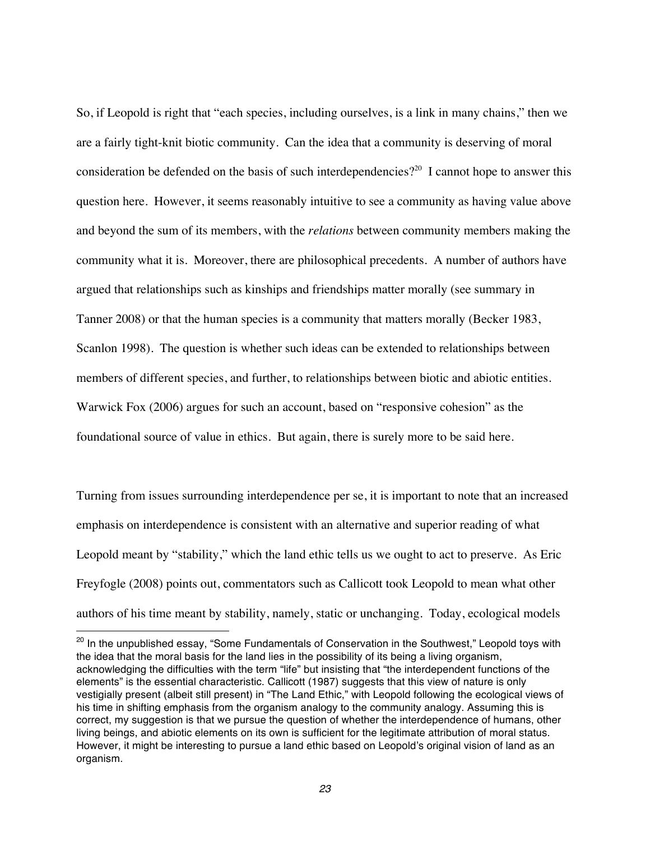So, if Leopold is right that "each species, including ourselves, is a link in many chains," then we are a fairly tight-knit biotic community. Can the idea that a community is deserving of moral consideration be defended on the basis of such interdependencies?<sup>20</sup> I cannot hope to answer this question here. However, it seems reasonably intuitive to see a community as having value above and beyond the sum of its members, with the *relations* between community members making the community what it is. Moreover, there are philosophical precedents. A number of authors have argued that relationships such as kinships and friendships matter morally (see summary in Tanner 2008) or that the human species is a community that matters morally (Becker 1983, Scanlon 1998). The question is whether such ideas can be extended to relationships between members of different species, and further, to relationships between biotic and abiotic entities. Warwick Fox (2006) argues for such an account, based on "responsive cohesion" as the foundational source of value in ethics. But again, there is surely more to be said here.

Turning from issues surrounding interdependence per se, it is important to note that an increased emphasis on interdependence is consistent with an alternative and superior reading of what Leopold meant by "stability," which the land ethic tells us we ought to act to preserve. As Eric Freyfogle (2008) points out, commentators such as Callicott took Leopold to mean what other authors of his time meant by stability, namely, static or unchanging. Today, ecological models

<sup>&</sup>lt;sup>20</sup> In the unpublished essay, "Some Fundamentals of Conservation in the Southwest," Leopold toys with the idea that the moral basis for the land lies in the possibility of its being a living organism, acknowledging the difficulties with the term "life" but insisting that "the interdependent functions of the elements" is the essential characteristic. Callicott (1987) suggests that this view of nature is only vestigially present (albeit still present) in "The Land Ethic," with Leopold following the ecological views of his time in shifting emphasis from the organism analogy to the community analogy. Assuming this is correct, my suggestion is that we pursue the question of whether the interdependence of humans, other living beings, and abiotic elements on its own is sufficient for the legitimate attribution of moral status. However, it might be interesting to pursue a land ethic based on Leopold's original vision of land as an organism.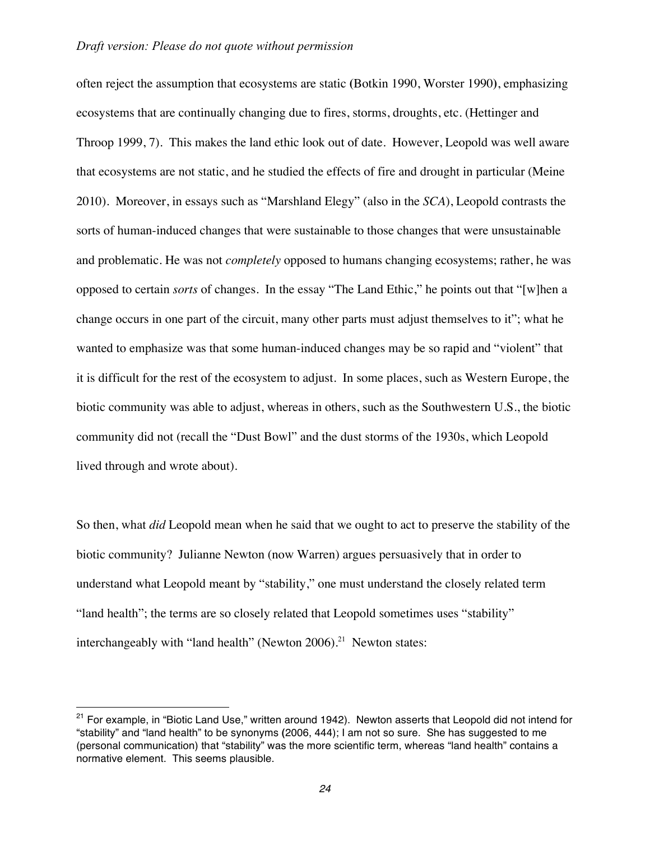often reject the assumption that ecosystems are static **(**Botkin 1990, Worster 1990**)**, emphasizing ecosystems that are continually changing due to fires, storms, droughts, etc. (Hettinger and Throop 1999, 7). This makes the land ethic look out of date. However, Leopold was well aware that ecosystems are not static, and he studied the effects of fire and drought in particular (Meine 2010). Moreover, in essays such as "Marshland Elegy" (also in the *SCA*), Leopold contrasts the sorts of human-induced changes that were sustainable to those changes that were unsustainable and problematic. He was not *completely* opposed to humans changing ecosystems; rather, he was opposed to certain *sorts* of changes. In the essay "The Land Ethic," he points out that "[w]hen a change occurs in one part of the circuit, many other parts must adjust themselves to it"; what he wanted to emphasize was that some human-induced changes may be so rapid and "violent" that it is difficult for the rest of the ecosystem to adjust. In some places, such as Western Europe, the biotic community was able to adjust, whereas in others, such as the Southwestern U.S., the biotic community did not (recall the "Dust Bowl" and the dust storms of the 1930s, which Leopold lived through and wrote about).

So then, what *did* Leopold mean when he said that we ought to act to preserve the stability of the biotic community? Julianne Newton (now Warren) argues persuasively that in order to understand what Leopold meant by "stability," one must understand the closely related term "land health"; the terms are so closely related that Leopold sometimes uses "stability" interchangeably with "land health" (Newton 2006).<sup>21</sup> Newton states:

 $21$  For example, in "Biotic Land Use," written around 1942). Newton asserts that Leopold did not intend for "stability" and "land health" to be synonyms **(**2006, 444); I am not so sure. She has suggested to me (personal communication) that "stability" was the more scientific term, whereas "land health" contains a normative element. This seems plausible.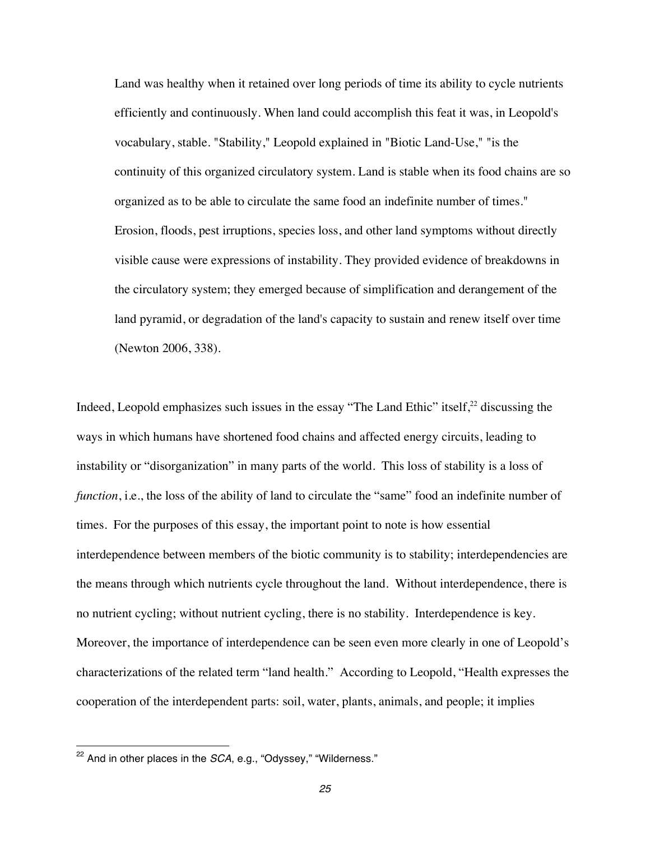Land was healthy when it retained over long periods of time its ability to cycle nutrients efficiently and continuously. When land could accomplish this feat it was, in Leopold's vocabulary, stable. "Stability," Leopold explained in "Biotic Land-Use," "is the continuity of this organized circulatory system. Land is stable when its food chains are so organized as to be able to circulate the same food an indefinite number of times." Erosion, floods, pest irruptions, species loss, and other land symptoms without directly visible cause were expressions of instability. They provided evidence of breakdowns in the circulatory system; they emerged because of simplification and derangement of the land pyramid, or degradation of the land's capacity to sustain and renew itself over time (Newton 2006, 338).

Indeed, Leopold emphasizes such issues in the essay "The Land Ethic" itself, $2<sup>2</sup>$  discussing the ways in which humans have shortened food chains and affected energy circuits, leading to instability or "disorganization" in many parts of the world. This loss of stability is a loss of *function*, *i.e.*, the loss of the ability of land to circulate the "same" food an indefinite number of times. For the purposes of this essay, the important point to note is how essential interdependence between members of the biotic community is to stability; interdependencies are the means through which nutrients cycle throughout the land. Without interdependence, there is no nutrient cycling; without nutrient cycling, there is no stability. Interdependence is key. Moreover, the importance of interdependence can be seen even more clearly in one of Leopold's characterizations of the related term "land health." According to Leopold, "Health expresses the cooperation of the interdependent parts: soil, water, plants, animals, and people; it implies

<sup>&</sup>lt;sup>22</sup> And in other places in the *SCA*, e.g., "Odyssey," "Wilderness."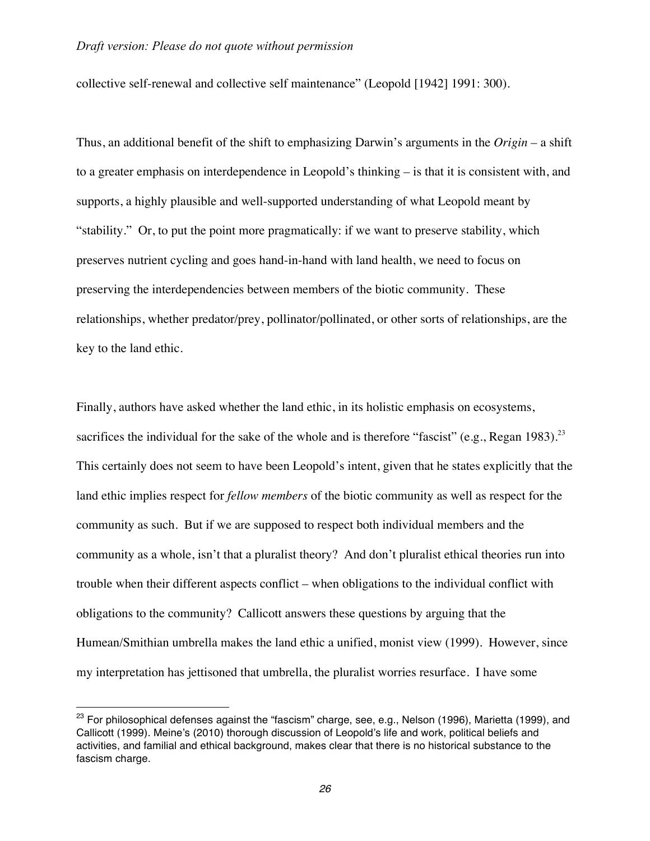collective self-renewal and collective self maintenance" (Leopold [1942] 1991: 300).

Thus, an additional benefit of the shift to emphasizing Darwin's arguments in the *Origin –* a shift to a greater emphasis on interdependence in Leopold's thinking *–* is that it is consistent with, and supports, a highly plausible and well-supported understanding of what Leopold meant by "stability." Or, to put the point more pragmatically: if we want to preserve stability, which preserves nutrient cycling and goes hand-in-hand with land health, we need to focus on preserving the interdependencies between members of the biotic community. These relationships, whether predator/prey, pollinator/pollinated, or other sorts of relationships, are the key to the land ethic.

Finally, authors have asked whether the land ethic, in its holistic emphasis on ecosystems, sacrifices the individual for the sake of the whole and is therefore "fascist" (e.g., Regan 1983).<sup>23</sup> This certainly does not seem to have been Leopold's intent, given that he states explicitly that the land ethic implies respect for *fellow members* of the biotic community as well as respect for the community as such. But if we are supposed to respect both individual members and the community as a whole, isn't that a pluralist theory? And don't pluralist ethical theories run into trouble when their different aspects conflict – when obligations to the individual conflict with obligations to the community? Callicott answers these questions by arguing that the Humean/Smithian umbrella makes the land ethic a unified, monist view (1999). However, since my interpretation has jettisoned that umbrella, the pluralist worries resurface. I have some

 $23$  For philosophical defenses against the "fascism" charge, see, e.g., Nelson (1996), Marietta (1999), and Callicott (1999). Meine's (2010) thorough discussion of Leopold's life and work, political beliefs and activities, and familial and ethical background, makes clear that there is no historical substance to the fascism charge.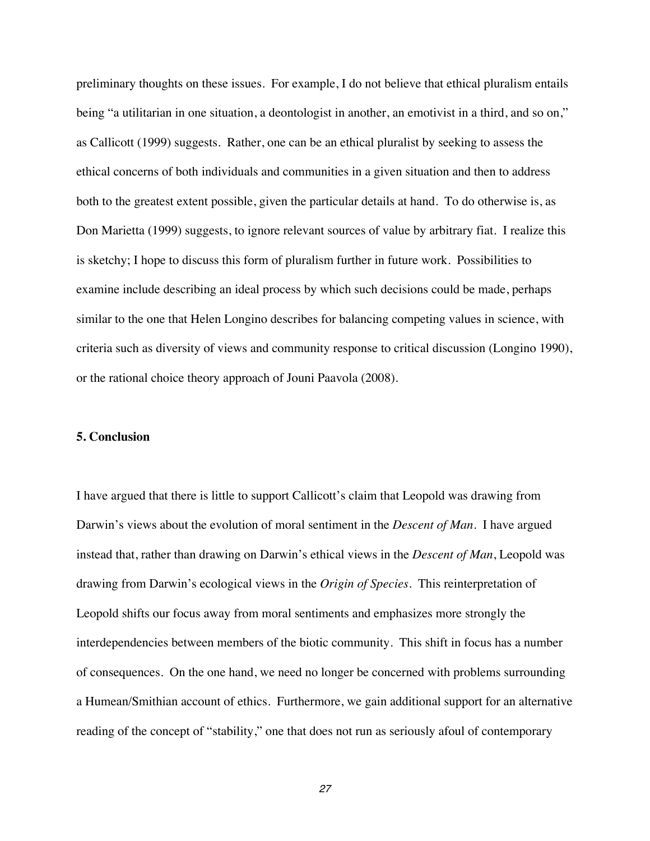preliminary thoughts on these issues. For example, I do not believe that ethical pluralism entails being "a utilitarian in one situation, a deontologist in another, an emotivist in a third, and so on," as Callicott (1999) suggests. Rather, one can be an ethical pluralist by seeking to assess the ethical concerns of both individuals and communities in a given situation and then to address both to the greatest extent possible, given the particular details at hand. To do otherwise is, as Don Marietta (1999) suggests, to ignore relevant sources of value by arbitrary fiat. I realize this is sketchy; I hope to discuss this form of pluralism further in future work. Possibilities to examine include describing an ideal process by which such decisions could be made, perhaps similar to the one that Helen Longino describes for balancing competing values in science, with criteria such as diversity of views and community response to critical discussion (Longino 1990), or the rational choice theory approach of Jouni Paavola (2008).

#### **5. Conclusion**

I have argued that there is little to support Callicott's claim that Leopold was drawing from Darwin's views about the evolution of moral sentiment in the *Descent of Man*. I have argued instead that, rather than drawing on Darwin's ethical views in the *Descent of Man*, Leopold was drawing from Darwin's ecological views in the *Origin of Species.* This reinterpretation of Leopold shifts our focus away from moral sentiments and emphasizes more strongly the interdependencies between members of the biotic community. This shift in focus has a number of consequences. On the one hand, we need no longer be concerned with problems surrounding a Humean/Smithian account of ethics. Furthermore, we gain additional support for an alternative reading of the concept of "stability," one that does not run as seriously afoul of contemporary

*27*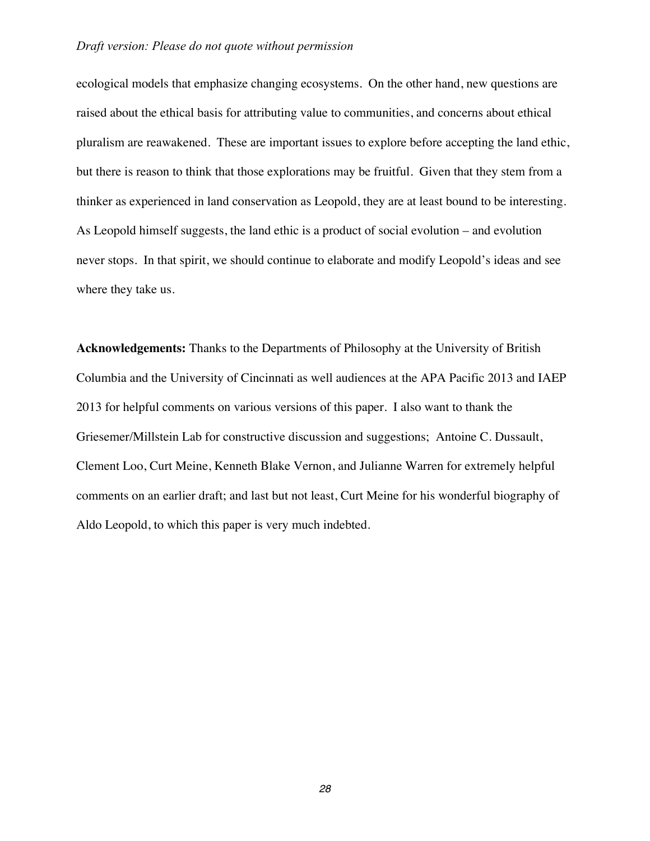ecological models that emphasize changing ecosystems. On the other hand, new questions are raised about the ethical basis for attributing value to communities, and concerns about ethical pluralism are reawakened. These are important issues to explore before accepting the land ethic, but there is reason to think that those explorations may be fruitful. Given that they stem from a thinker as experienced in land conservation as Leopold, they are at least bound to be interesting. As Leopold himself suggests, the land ethic is a product of social evolution – and evolution never stops. In that spirit, we should continue to elaborate and modify Leopold's ideas and see where they take us.

**Acknowledgements:** Thanks to the Departments of Philosophy at the University of British Columbia and the University of Cincinnati as well audiences at the APA Pacific 2013 and IAEP 2013 for helpful comments on various versions of this paper. I also want to thank the Griesemer/Millstein Lab for constructive discussion and suggestions; Antoine C. Dussault, Clement Loo, Curt Meine, Kenneth Blake Vernon, and Julianne Warren for extremely helpful comments on an earlier draft; and last but not least, Curt Meine for his wonderful biography of Aldo Leopold, to which this paper is very much indebted.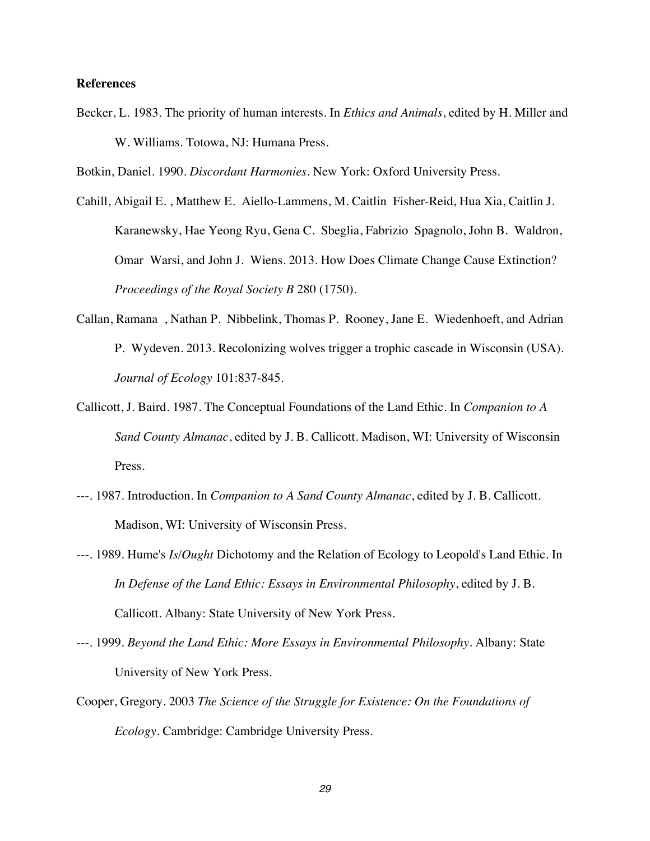#### **References**

Becker, L. 1983. The priority of human interests. In *Ethics and Animals*, edited by H. Miller and W. Williams. Totowa, NJ: Humana Press.

Botkin, Daniel. 1990. *Discordant Harmonies*. New York: Oxford University Press.

- Cahill, Abigail E. , Matthew E. Aiello-Lammens, M. Caitlin Fisher-Reid, Hua Xia, Caitlin J. Karanewsky, Hae Yeong Ryu, Gena C. Sbeglia, Fabrizio Spagnolo, John B. Waldron, Omar Warsi, and John J. Wiens. 2013. How Does Climate Change Cause Extinction? *Proceedings of the Royal Society B* 280 (1750).
- Callan, Ramana , Nathan P. Nibbelink, Thomas P. Rooney, Jane E. Wiedenhoeft, and Adrian P. Wydeven. 2013. Recolonizing wolves trigger a trophic cascade in Wisconsin (USA). *Journal of Ecology* 101:837-845.
- Callicott, J. Baird. 1987. The Conceptual Foundations of the Land Ethic. In *Companion to A Sand County Almanac*, edited by J. B. Callicott. Madison, WI: University of Wisconsin Press.
- ---. 1987. Introduction. In *Companion to A Sand County Almanac*, edited by J. B. Callicott. Madison, WI: University of Wisconsin Press.
- ---. 1989. Hume's *Is/Ought* Dichotomy and the Relation of Ecology to Leopold's Land Ethic. In *In Defense of the Land Ethic: Essays in Environmental Philosophy*, edited by J. B. Callicott. Albany: State University of New York Press.
- ---. 1999. *Beyond the Land Ethic: More Essays in Environmental Philosophy*. Albany: State University of New York Press.
- Cooper, Gregory. 2003 *The Science of the Struggle for Existence: On the Foundations of Ecology*. Cambridge: Cambridge University Press.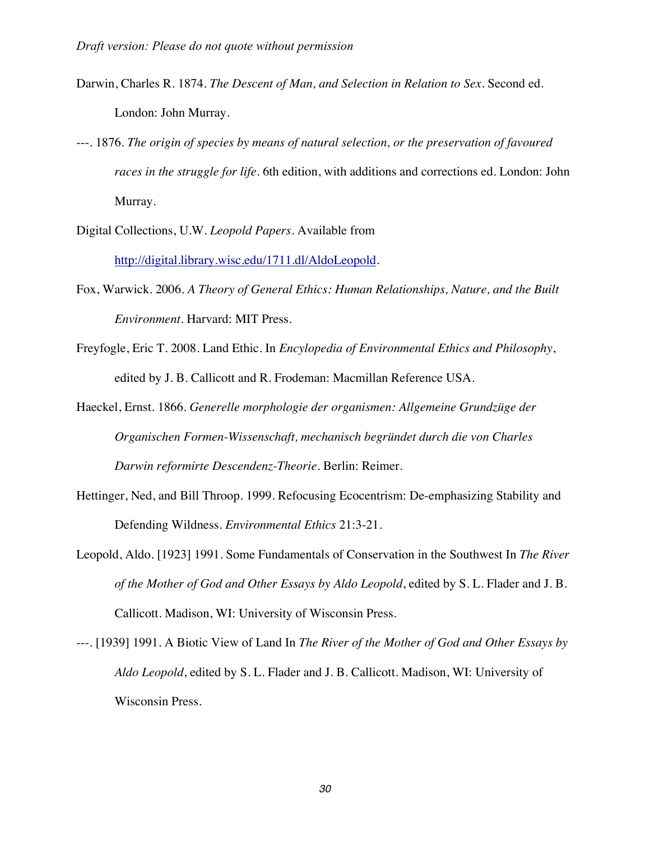- Darwin, Charles R. 1874. *The Descent of Man, and Selection in Relation to Sex*. Second ed. London: John Murray.
- ---. 1876. *The origin of species by means of natural selection, or the preservation of favoured races in the struggle for life*. 6th edition, with additions and corrections ed. London: John Murray.
- Digital Collections, U.W. *Leopold Papers*. Available from http://digital.library.wisc.edu/1711.dl/AldoLeopold.
- Fox, Warwick. 2006. *A Theory of General Ethics: Human Relationships, Nature, and the Built Environment*. Harvard: MIT Press.
- Freyfogle, Eric T. 2008. Land Ethic. In *Encylopedia of Environmental Ethics and Philosophy*, edited by J. B. Callicott and R. Frodeman: Macmillan Reference USA.
- Haeckel, Ernst. 1866. *Generelle morphologie der organismen: Allgemeine Grundzüge der Organischen Formen-Wissenschaft, mechanisch begründet durch die von Charles Darwin reformirte Descendenz-Theorie*. Berlin: Reimer.
- Hettinger, Ned, and Bill Throop. 1999. Refocusing Ecocentrism: De-emphasizing Stability and Defending Wildness. *Environmental Ethics* 21:3-21.
- Leopold, Aldo. [1923] 1991. Some Fundamentals of Conservation in the Southwest In *The River of the Mother of God and Other Essays by Aldo Leopold*, edited by S. L. Flader and J. B. Callicott. Madison, WI: University of Wisconsin Press.
- ---. [1939] 1991. A Biotic View of Land In *The River of the Mother of God and Other Essays by Aldo Leopold*, edited by S. L. Flader and J. B. Callicott. Madison, WI: University of Wisconsin Press.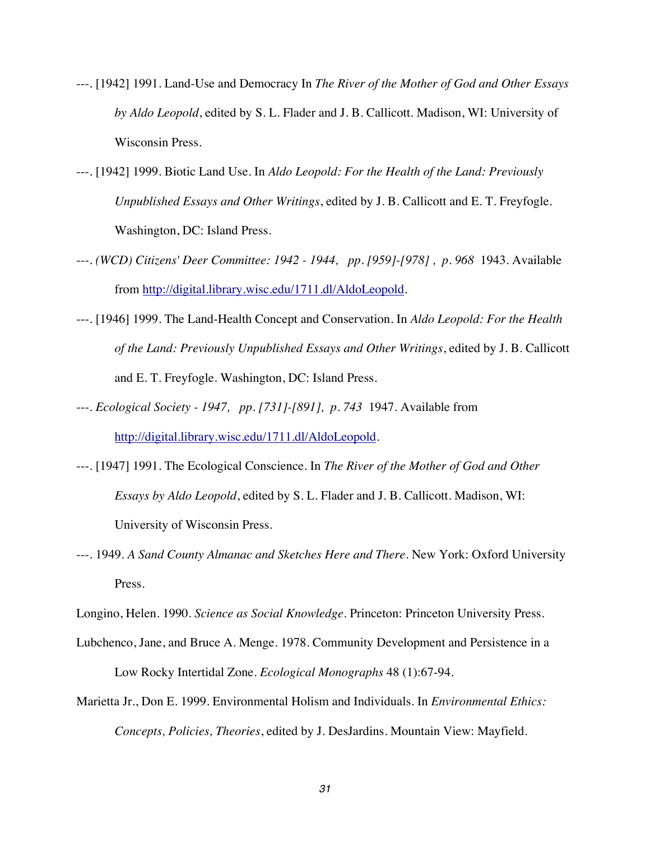- ---. [1942] 1991. Land-Use and Democracy In *The River of the Mother of God and Other Essays by Aldo Leopold*, edited by S. L. Flader and J. B. Callicott. Madison, WI: University of Wisconsin Press.
- ---. [1942] 1999. Biotic Land Use. In *Aldo Leopold: For the Health of the Land: Previously Unpublished Essays and Other Writings*, edited by J. B. Callicott and E. T. Freyfogle. Washington, DC: Island Press.
- ---. *(WCD) Citizens' Deer Committee: 1942 - 1944, pp. [959]-[978] , p. 968* 1943. Available from http://digital.library.wisc.edu/1711.dl/AldoLeopold.
- ---. [1946] 1999. The Land-Health Concept and Conservation. In *Aldo Leopold: For the Health of the Land: Previously Unpublished Essays and Other Writings*, edited by J. B. Callicott and E. T. Freyfogle. Washington, DC: Island Press.
- ---. *Ecological Society - 1947, pp. [731]-[891], p. 743* 1947. Available from http://digital.library.wisc.edu/1711.dl/AldoLeopold.
- ---. [1947] 1991. The Ecological Conscience. In *The River of the Mother of God and Other Essays by Aldo Leopold*, edited by S. L. Flader and J. B. Callicott. Madison, WI: University of Wisconsin Press.
- ---. 1949. *A Sand County Almanac and Sketches Here and There*. New York: Oxford University Press.

Longino, Helen. 1990. *Science as Social Knowledge*. Princeton: Princeton University Press.

- Lubchenco, Jane, and Bruce A. Menge. 1978. Community Development and Persistence in a Low Rocky Intertidal Zone. *Ecological Monographs* 48 (1):67-94.
- Marietta Jr., Don E. 1999. Environmental Holism and Individuals. In *Environmental Ethics: Concepts, Policies, Theories*, edited by J. DesJardins. Mountain View: Mayfield.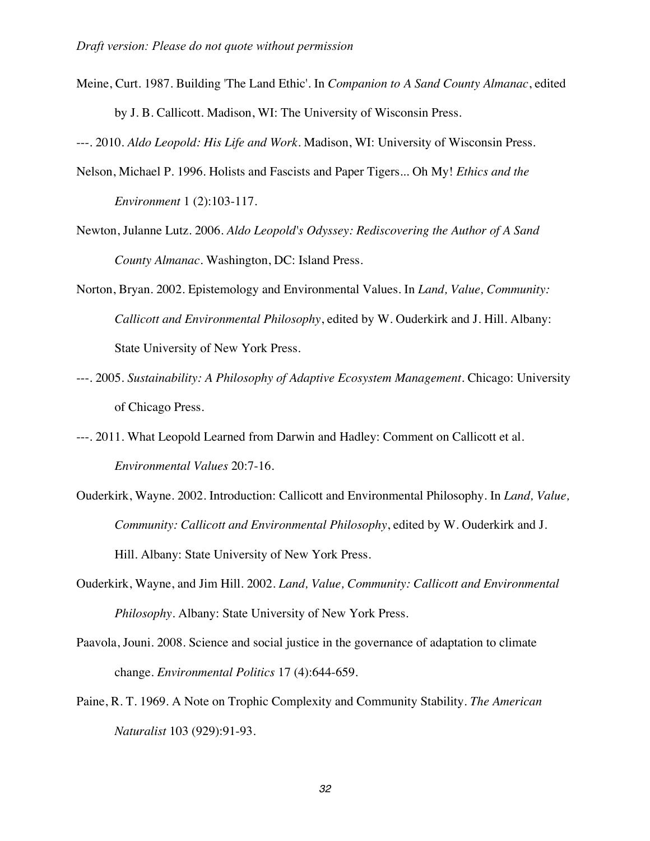Meine, Curt. 1987. Building 'The Land Ethic'. In *Companion to A Sand County Almanac*, edited by J. B. Callicott. Madison, WI: The University of Wisconsin Press.

---. 2010. *Aldo Leopold: His Life and Work*. Madison, WI: University of Wisconsin Press.

- Nelson, Michael P. 1996. Holists and Fascists and Paper Tigers... Oh My! *Ethics and the Environment* 1 (2):103-117.
- Newton, Julanne Lutz. 2006. *Aldo Leopold's Odyssey: Rediscovering the Author of A Sand County Almanac*. Washington, DC: Island Press.
- Norton, Bryan. 2002. Epistemology and Environmental Values. In *Land, Value, Community: Callicott and Environmental Philosophy*, edited by W. Ouderkirk and J. Hill. Albany: State University of New York Press.
- ---. 2005. *Sustainability: A Philosophy of Adaptive Ecosystem Management*. Chicago: University of Chicago Press.
- ---. 2011. What Leopold Learned from Darwin and Hadley: Comment on Callicott et al. *Environmental Values* 20:7-16.
- Ouderkirk, Wayne. 2002. Introduction: Callicott and Environmental Philosophy. In *Land, Value, Community: Callicott and Environmental Philosophy*, edited by W. Ouderkirk and J. Hill. Albany: State University of New York Press.
- Ouderkirk, Wayne, and Jim Hill. 2002. *Land, Value, Community: Callicott and Environmental Philosophy*. Albany: State University of New York Press.
- Paavola, Jouni. 2008. Science and social justice in the governance of adaptation to climate change. *Environmental Politics* 17 (4):644-659.
- Paine, R. T. 1969. A Note on Trophic Complexity and Community Stability. *The American Naturalist* 103 (929):91-93.